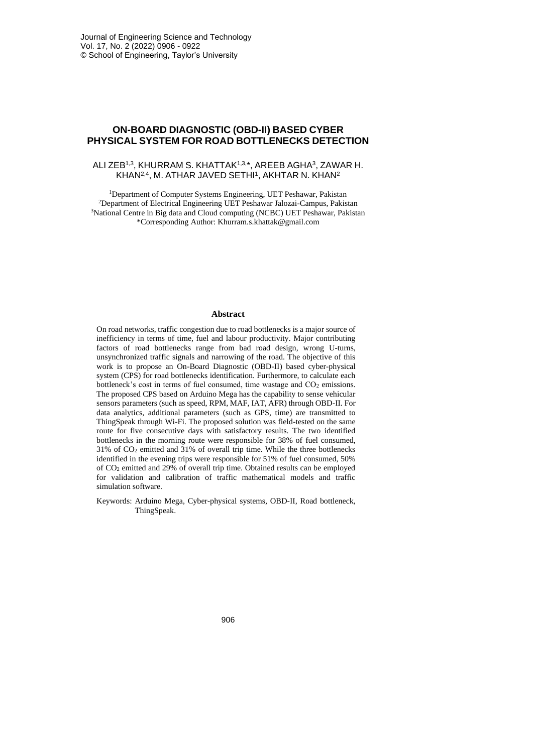# **ON-BOARD DIAGNOSTIC (OBD-II) BASED CYBER PHYSICAL SYSTEM FOR ROAD BOTTLENECKS DETECTION**

### ALI ZEB1,3, KHURRAM S. KHATTAK1,3,\*, AREEB AGHA3, ZAWAR H. KHAN2,4, M. ATHAR JAVED SETHI1, AKHTAR N. KHAN2

<sup>1</sup>Department of Computer Systems Engineering, UET Peshawar, Pakistan <sup>2</sup>Department of Electrical Engineering UET Peshawar Jalozai-Campus, Pakistan <sup>3</sup>National Centre in Big data and Cloud computing (NCBC) UET Peshawar, Pakistan \*Corresponding Author: Khurram.s.khattak@gmail.com

### **Abstract**

On road networks, traffic congestion due to road bottlenecks is a major source of inefficiency in terms of time, fuel and labour productivity. Major contributing factors of road bottlenecks range from bad road design, wrong U-turns, unsynchronized traffic signals and narrowing of the road. The objective of this work is to propose an On-Board Diagnostic (OBD-II) based cyber-physical system (CPS) for road bottlenecks identification. Furthermore, to calculate each bottleneck's cost in terms of fuel consumed, time wastage and CO<sub>2</sub> emissions. The proposed CPS based on Arduino Mega has the capability to sense vehicular sensors parameters (such as speed, RPM, MAF, IAT, AFR) through OBD-II. For data analytics, additional parameters (such as GPS, time) are transmitted to ThingSpeak through Wi-Fi. The proposed solution was field-tested on the same route for five consecutive days with satisfactory results. The two identified bottlenecks in the morning route were responsible for 38% of fuel consumed, 31% of CO<sup>2</sup> emitted and 31% of overall trip time. While the three bottlenecks identified in the evening trips were responsible for 51% of fuel consumed, 50% of CO<sup>2</sup> emitted and 29% of overall trip time. Obtained results can be employed for validation and calibration of traffic mathematical models and traffic simulation software.

Keywords: Arduino Mega, Cyber-physical systems, OBD-II, Road bottleneck, ThingSpeak.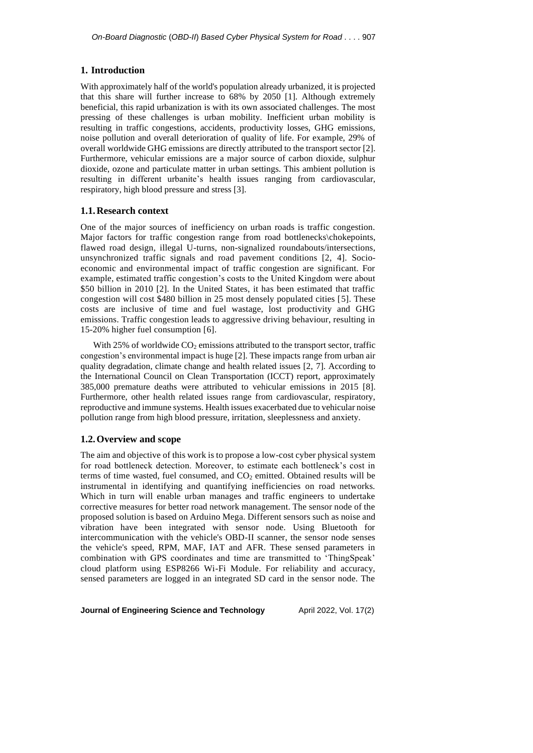## **1. Introduction**

With approximately half of the world's population already urbanized, it is projected that this share will further increase to 68% by 2050 [1]. Although extremely beneficial, this rapid urbanization is with its own associated challenges. The most pressing of these challenges is urban mobility. Inefficient urban mobility is resulting in traffic congestions, accidents, productivity losses, GHG emissions, noise pollution and overall deterioration of quality of life. For example, 29% of overall worldwide GHG emissions are directly attributed to the transport sector [2]. Furthermore, vehicular emissions are a major source of carbon dioxide, sulphur dioxide, ozone and particulate matter in urban settings. This ambient pollution is resulting in different urbanite's health issues ranging from cardiovascular, respiratory, high blood pressure and stress [3].

## **1.1.Research context**

One of the major sources of inefficiency on urban roads is traffic congestion. Major factors for traffic congestion range from road bottlenecks\chokepoints, flawed road design, illegal U-turns, non-signalized roundabouts/intersections, unsynchronized traffic signals and road pavement conditions [2, 4]. Socioeconomic and environmental impact of traffic congestion are significant. For example, estimated traffic congestion's costs to the United Kingdom were about \$50 billion in 2010 [2]. In the United States, it has been estimated that traffic congestion will cost \$480 billion in 25 most densely populated cities [5]. These costs are inclusive of time and fuel wastage, lost productivity and GHG emissions. Traffic congestion leads to aggressive driving behaviour, resulting in 15-20% higher fuel consumption [6].

With 25% of worldwide  $CO_2$  emissions attributed to the transport sector, traffic congestion's environmental impact is huge [2]. These impacts range from urban air quality degradation, climate change and health related issues [2, 7]. According to the International Council on Clean Transportation (ICCT) report, approximately 385,000 premature deaths were attributed to vehicular emissions in 2015 [8]. Furthermore, other health related issues range from cardiovascular, respiratory, reproductive and immune systems. Health issues exacerbated due to vehicular noise pollution range from high blood pressure, irritation, sleeplessness and anxiety.

## **1.2.Overview and scope**

The aim and objective of this work is to propose a low-cost cyber physical system for road bottleneck detection. Moreover, to estimate each bottleneck's cost in terms of time wasted, fuel consumed, and  $CO<sub>2</sub>$  emitted. Obtained results will be instrumental in identifying and quantifying inefficiencies on road networks. Which in turn will enable urban manages and traffic engineers to undertake corrective measures for better road network management. The sensor node of the proposed solution is based on Arduino Mega. Different sensors such as noise and vibration have been integrated with sensor node. Using Bluetooth for intercommunication with the vehicle's OBD-II scanner, the sensor node senses the vehicle's speed, RPM, MAF, IAT and AFR. These sensed parameters in combination with GPS coordinates and time are transmitted to 'ThingSpeak' cloud platform using ESP8266 Wi-Fi Module. For reliability and accuracy, sensed parameters are logged in an integrated SD card in the sensor node. The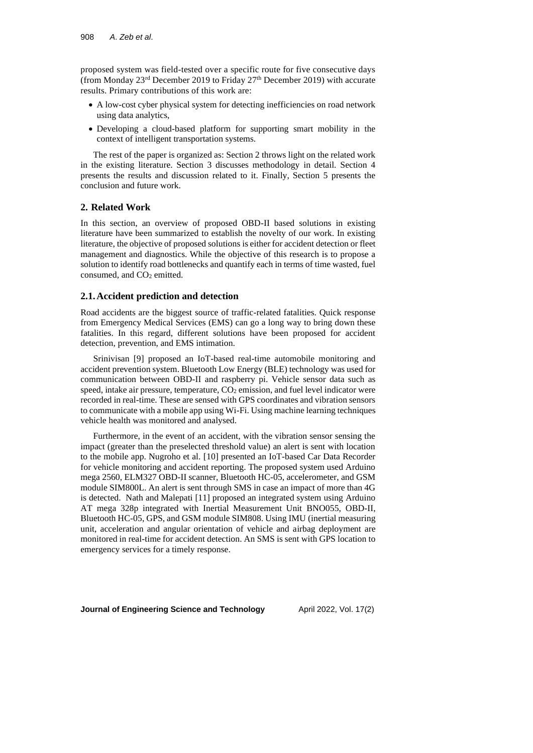proposed system was field-tested over a specific route for five consecutive days (from Monday  $23^{rd}$  December 2019 to Friday  $27^{th}$  December 2019) with accurate results. Primary contributions of this work are:

- A low-cost cyber physical system for detecting inefficiencies on road network using data analytics,
- Developing a cloud-based platform for supporting smart mobility in the context of intelligent transportation systems.

The rest of the paper is organized as: Section 2 throws light on the related work in the existing literature. Section 3 discusses methodology in detail. Section 4 presents the results and discussion related to it. Finally, Section 5 presents the conclusion and future work.

## **2. Related Work**

In this section, an overview of proposed OBD-II based solutions in existing literature have been summarized to establish the novelty of our work. In existing literature, the objective of proposed solutions is either for accident detection or fleet management and diagnostics. While the objective of this research is to propose a solution to identify road bottlenecks and quantify each in terms of time wasted, fuel consumed, and CO<sub>2</sub> emitted.

## **2.1.Accident prediction and detection**

Road accidents are the biggest source of traffic-related fatalities. Quick response from Emergency Medical Services (EMS) can go a long way to bring down these fatalities. In this regard, different solutions have been proposed for accident detection, prevention, and EMS intimation.

Srinivisan [9] proposed an IoT-based real-time automobile monitoring and accident prevention system. Bluetooth Low Energy (BLE) technology was used for communication between OBD-II and raspberry pi. Vehicle sensor data such as speed, intake air pressure, temperature,  $CO<sub>2</sub>$  emission, and fuel level indicator were recorded in real-time. These are sensed with GPS coordinates and vibration sensors to communicate with a mobile app using Wi-Fi. Using machine learning techniques vehicle health was monitored and analysed.

Furthermore, in the event of an accident, with the vibration sensor sensing the impact (greater than the preselected threshold value) an alert is sent with location to the mobile app. Nugroho et al. [10] presented an IoT-based Car Data Recorder for vehicle monitoring and accident reporting. The proposed system used Arduino mega 2560, ELM327 OBD-II scanner, Bluetooth HC-05, accelerometer, and GSM module SIM800L. An alert is sent through SMS in case an impact of more than 4G is detected. Nath and Malepati [11] proposed an integrated system using Arduino AT mega 328p integrated with Inertial Measurement Unit BNO055, OBD-II, Bluetooth HC-05, GPS, and GSM module SIM808. Using IMU (inertial measuring unit, acceleration and angular orientation of vehicle and airbag deployment are monitored in real-time for accident detection. An SMS is sent with GPS location to emergency services for a timely response.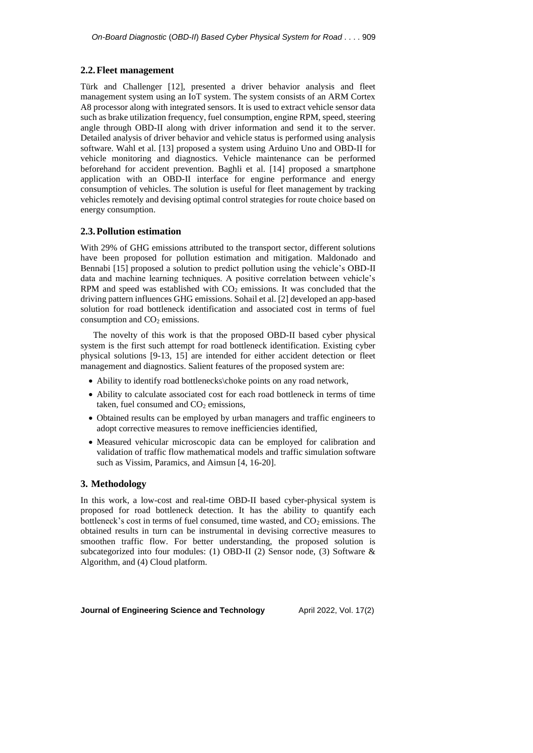## **2.2.Fleet management**

Türk and Challenger [12], presented a driver behavior analysis and fleet management system using an IoT system. The system consists of an ARM Cortex A8 processor along with integrated sensors. It is used to extract vehicle sensor data such as brake utilization frequency, fuel consumption, engine RPM, speed, steering angle through OBD-II along with driver information and send it to the server. Detailed analysis of driver behavior and vehicle status is performed using analysis software. Wahl et al. [13] proposed a system using Arduino Uno and OBD-II for vehicle monitoring and diagnostics. Vehicle maintenance can be performed beforehand for accident prevention. Baghli et al. [14] proposed a smartphone application with an OBD-II interface for engine performance and energy consumption of vehicles. The solution is useful for fleet management by tracking vehicles remotely and devising optimal control strategies for route choice based on energy consumption.

# **2.3.Pollution estimation**

With 29% of GHG emissions attributed to the transport sector, different solutions have been proposed for pollution estimation and mitigation. Maldonado and Bennabi [15] proposed a solution to predict pollution using the vehicle's OBD-II data and machine learning techniques. A positive correlation between vehicle's RPM and speed was established with  $CO<sub>2</sub>$  emissions. It was concluded that the driving pattern influences GHG emissions. Sohail et al. [2] developed an app-based solution for road bottleneck identification and associated cost in terms of fuel consumption and  $CO<sub>2</sub>$  emissions.

The novelty of this work is that the proposed OBD-II based cyber physical system is the first such attempt for road bottleneck identification. Existing cyber physical solutions [9-13, 15] are intended for either accident detection or fleet management and diagnostics. Salient features of the proposed system are:

- Ability to identify road bottlenecks\choke points on any road network,
- Ability to calculate associated cost for each road bottleneck in terms of time taken, fuel consumed and  $CO<sub>2</sub>$  emissions,
- Obtained results can be employed by urban managers and traffic engineers to adopt corrective measures to remove inefficiencies identified,
- Measured vehicular microscopic data can be employed for calibration and validation of traffic flow mathematical models and traffic simulation software such as Vissim, Paramics, and Aimsun [4, 16-20].

## **3. Methodology**

In this work, a low-cost and real-time OBD-II based cyber-physical system is proposed for road bottleneck detection. It has the ability to quantify each bottleneck's cost in terms of fuel consumed, time wasted, and  $CO<sub>2</sub>$  emissions. The obtained results in turn can be instrumental in devising corrective measures to smoothen traffic flow. For better understanding, the proposed solution is subcategorized into four modules: (1) OBD-II (2) Sensor node, (3) Software & Algorithm, and (4) Cloud platform.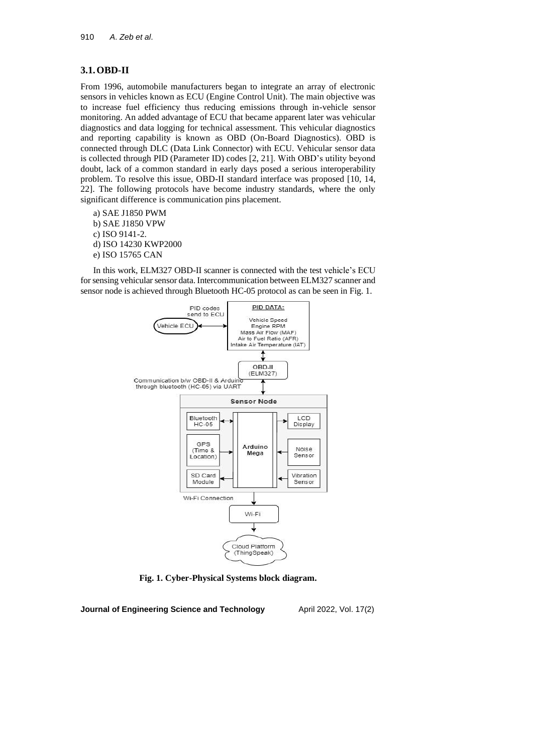# **3.1.OBD-II**

From 1996, automobile manufacturers began to integrate an array of electronic sensors in vehicles known as ECU (Engine Control Unit). The main objective was to increase fuel efficiency thus reducing emissions through in-vehicle sensor monitoring. An added advantage of ECU that became apparent later was vehicular diagnostics and data logging for technical assessment. This vehicular diagnostics and reporting capability is known as OBD (On-Board Diagnostics). OBD is connected through DLC (Data Link Connector) with ECU. Vehicular sensor data is collected through PID (Parameter ID) codes [2, 21]. With OBD's utility beyond doubt, lack of a common standard in early days posed a serious interoperability problem. To resolve this issue, OBD-II standard interface was proposed [10, 14, 22]. The following protocols have become industry standards, where the only significant difference is communication pins placement.

a) SAE J1850 PWM b) SAE J1850 VPW c) ISO 9141-2. d) ISO 14230 KWP2000 e) ISO 15765 CAN

In this work, ELM327 OBD-II scanner is connected with the test vehicle's ECU for sensing vehicular sensor data. Intercommunication between ELM327 scanner and sensor node is achieved through Bluetooth HC-05 protocol as can be seen in Fig. 1.



**Fig. 1. Cyber-Physical Systems block diagram.**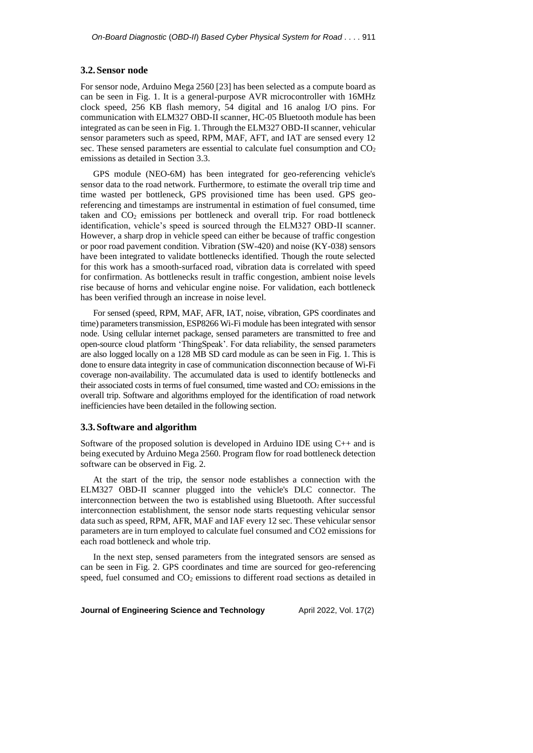#### **3.2.Sensor node**

For sensor node, Arduino Mega 2560 [23] has been selected as a compute board as can be seen in Fig. 1. It is a general-purpose AVR microcontroller with 16MHz clock speed, 256 KB flash memory, 54 digital and 16 analog I/O pins. For communication with ELM327 OBD-II scanner, HC-05 Bluetooth module has been integrated as can be seen in Fig. 1. Through the ELM327 OBD-II scanner, vehicular sensor parameters such as speed, RPM, MAF, AFT, and IAT are sensed every 12 sec. These sensed parameters are essential to calculate fuel consumption and  $CO<sub>2</sub>$ emissions as detailed in Section 3.3.

GPS module (NEO-6M) has been integrated for geo-referencing vehicle's sensor data to the road network. Furthermore, to estimate the overall trip time and time wasted per bottleneck, GPS provisioned time has been used. GPS georeferencing and timestamps are instrumental in estimation of fuel consumed, time taken and CO<sup>2</sup> emissions per bottleneck and overall trip. For road bottleneck identification, vehicle's speed is sourced through the ELM327 OBD-II scanner. However, a sharp drop in vehicle speed can either be because of traffic congestion or poor road pavement condition. Vibration (SW-420) and noise (KY-038) sensors have been integrated to validate bottlenecks identified. Though the route selected for this work has a smooth-surfaced road, vibration data is correlated with speed for confirmation. As bottlenecks result in traffic congestion, ambient noise levels rise because of horns and vehicular engine noise. For validation, each bottleneck has been verified through an increase in noise level.

For sensed (speed, RPM, MAF, AFR, IAT, noise, vibration, GPS coordinates and time) parameters transmission, ESP8266 Wi-Fi module has been integrated with sensor node. Using cellular internet package, sensed parameters are transmitted to free and open-source cloud platform 'ThingSpeak'. For data reliability, the sensed parameters are also logged locally on a 128 MB SD card module as can be seen in Fig. 1. This is done to ensure data integrity in case of communication disconnection because of Wi-Fi coverage non-availability. The accumulated data is used to identify bottlenecks and their associated costs in terms of fuel consumed, time wasted and  $CO<sub>2</sub>$  emissions in the overall trip. Software and algorithms employed for the identification of road network inefficiencies have been detailed in the following section.

## **3.3.Software and algorithm**

Software of the proposed solution is developed in Arduino IDE using C++ and is being executed by Arduino Mega 2560. Program flow for road bottleneck detection software can be observed in Fig. 2.

At the start of the trip, the sensor node establishes a connection with the ELM327 OBD-II scanner plugged into the vehicle's DLC connector. The interconnection between the two is established using Bluetooth. After successful interconnection establishment, the sensor node starts requesting vehicular sensor data such as speed, RPM, AFR, MAF and IAF every 12 sec. These vehicular sensor parameters are in turn employed to calculate fuel consumed and CO2 emissions for each road bottleneck and whole trip.

In the next step, sensed parameters from the integrated sensors are sensed as can be seen in Fig. 2. GPS coordinates and time are sourced for geo-referencing speed, fuel consumed and  $CO<sub>2</sub>$  emissions to different road sections as detailed in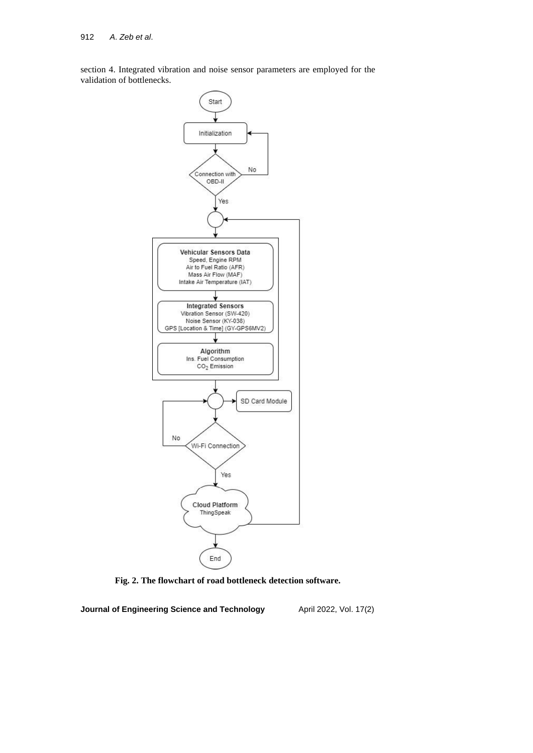section 4. Integrated vibration and noise sensor parameters are employed for the validation of bottlenecks.



**Fig. 2. The flowchart of road bottleneck detection software.**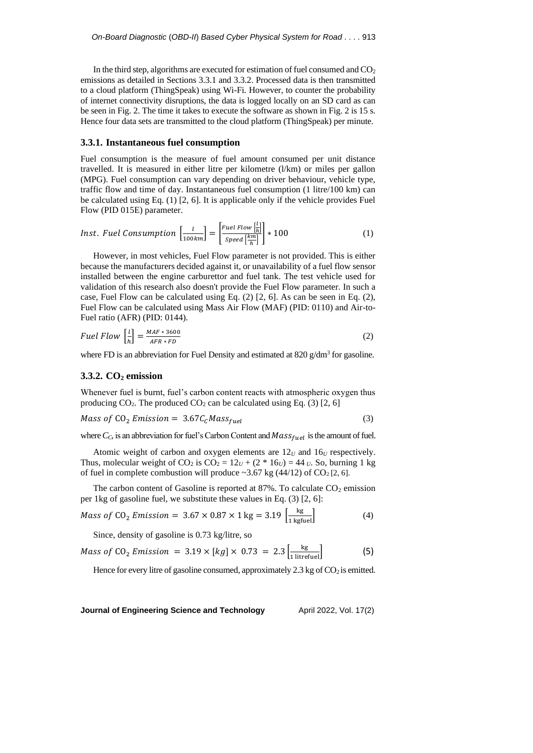In the third step, algorithms are executed for estimation of fuel consumed and  $CO<sub>2</sub>$ emissions as detailed in Sections 3.3.1 and 3.3.2. Processed data is then transmitted to a cloud platform (ThingSpeak) using Wi-Fi. However, to counter the probability of internet connectivity disruptions, the data is logged locally on an SD card as can be seen in Fig. 2. The time it takes to execute the software as shown in Fig. 2 is 15 s. Hence four data sets are transmitted to the cloud platform (ThingSpeak) per minute.

### **3.3.1. Instantaneous fuel consumption**

Fuel consumption is the measure of fuel amount consumed per unit distance travelled. It is measured in either litre per kilometre (l/km) or miles per gallon (MPG). Fuel consumption can vary depending on driver behaviour, vehicle type, traffic flow and time of day. Instantaneous fuel consumption (1 litre/100 km) can be calculated using Eq. (1) [2, 6]. It is applicable only if the vehicle provides Fuel Flow (PID 015E) parameter.

*Inst. Fuel Consumption* 
$$
\left[\frac{l}{100km}\right] = \left[\frac{Fuel Flow \left[\frac{l}{h}\right]}{Speed \left[\frac{k}{h}\right]}\right] * 100
$$
 (1)

However, in most vehicles, Fuel Flow parameter is not provided. This is either because the manufacturers decided against it, or unavailability of a fuel flow sensor installed between the engine carburettor and fuel tank. The test vehicle used for validation of this research also doesn't provide the Fuel Flow parameter. In such a case, Fuel Flow can be calculated using Eq. (2) [2, 6]. As can be seen in Eq. (2), Fuel Flow can be calculated using Mass Air Flow (MAF) (PID: 0110) and Air-to-Fuel ratio (AFR) (PID: 0144).

$$
Full Flow \left[\frac{l}{h}\right] = \frac{MAF * 3600}{AFR * FD} \tag{2}
$$

where FD is an abbreviation for Fuel Density and estimated at  $820$  g/dm<sup>3</sup> for gasoline.

### **3.3.2. CO<sup>2</sup> emission**

Whenever fuel is burnt, fuel's carbon content reacts with atmospheric oxygen thus producing  $CO<sub>2</sub>$ . The produced  $CO<sub>2</sub>$  can be calculated using Eq. (3) [2, 6]

$$
Mass of CO2 Emission = 3.67CC Massfuel
$$
 (3)

where  $C_C$ , is an abbreviation for fuel's Carbon Content and  $Mass_{fuel}$  is the amount of fuel.

Atomic weight of carbon and oxygen elements are  $12<sub>U</sub>$  and  $16<sub>U</sub>$  respectively. Thus, molecular weight of CO<sub>2</sub> is CO<sub>2</sub> =  $12_U + (2 * 16_U) = 44_U$ . So, burning 1 kg of fuel in complete combustion will produce  $\sim$ 3.67 kg (44/12) of CO<sub>2</sub> [2, 6].

The carbon content of Gasoline is reported at  $87\%$ . To calculate  $CO<sub>2</sub>$  emission per 1kg of gasoline fuel, we substitute these values in Eq. (3) [2, 6]:

$$
Mass of CO2 Emission = 3.67 \times 0.87 \times 1 \text{ kg} = 3.19 \left[ \frac{\text{kg}}{1 \text{ kgfuel}} \right]
$$
 (4)

Since, density of gasoline is 0.73 kg/litre, so

Mass of CO<sub>2</sub> *Emission* = 
$$
3.19 \times [kg] \times 0.73 = 2.3 \left[ \frac{kg}{1 \text{ litrefuel}} \right]
$$
 (5)

Hence for every litre of gasoline consumed, approximately 2.3 kg of  $CO_2$  is emitted.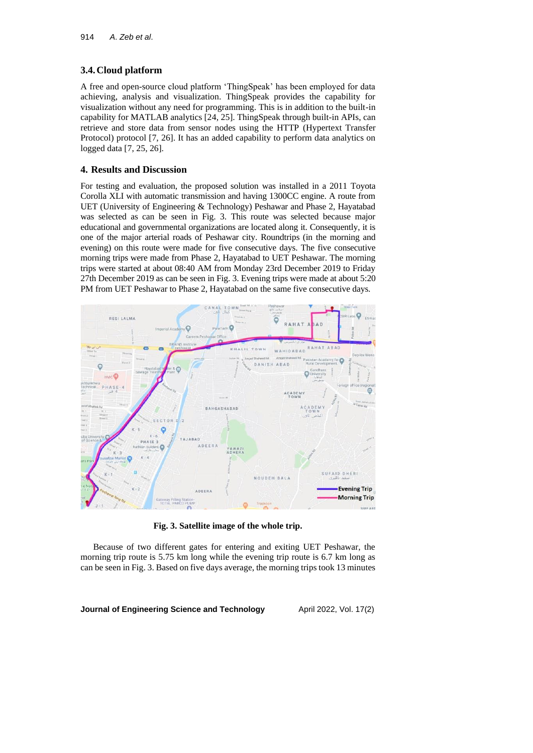## **3.4.Cloud platform**

A free and open-source cloud platform 'ThingSpeak' has been employed for data achieving, analysis and visualization. ThingSpeak provides the capability for visualization without any need for programming. This is in addition to the built-in capability for MATLAB analytics [24, 25]. ThingSpeak through built-in APIs, can retrieve and store data from sensor nodes using the HTTP (Hypertext Transfer Protocol) protocol [7, 26]. It has an added capability to perform data analytics on logged data [7, 25, 26].

### **4. Results and Discussion**

For testing and evaluation, the proposed solution was installed in a 2011 Toyota Corolla XLI with automatic transmission and having 1300CC engine. A route from UET (University of Engineering & Technology) Peshawar and Phase 2, Hayatabad was selected as can be seen in Fig. 3. This route was selected because major educational and governmental organizations are located along it. Consequently, it is one of the major arterial roads of Peshawar city. Roundtrips (in the morning and evening) on this route were made for five consecutive days. The five consecutive morning trips were made from Phase 2, Hayatabad to UET Peshawar. The morning trips were started at about 08:40 AM from Monday 23rd December 2019 to Friday 27th December 2019 as can be seen in Fig. 3. Evening trips were made at about 5:20 PM from UET Peshawar to Phase 2, Hayatabad on the same five consecutive days.



**Fig. 3. Satellite image of the whole trip.**

Because of two different gates for entering and exiting UET Peshawar, the morning trip route is 5.75 km long while the evening trip route is 6.7 km long as can be seen in Fig. 3. Based on five days average, the morning trips took 13 minutes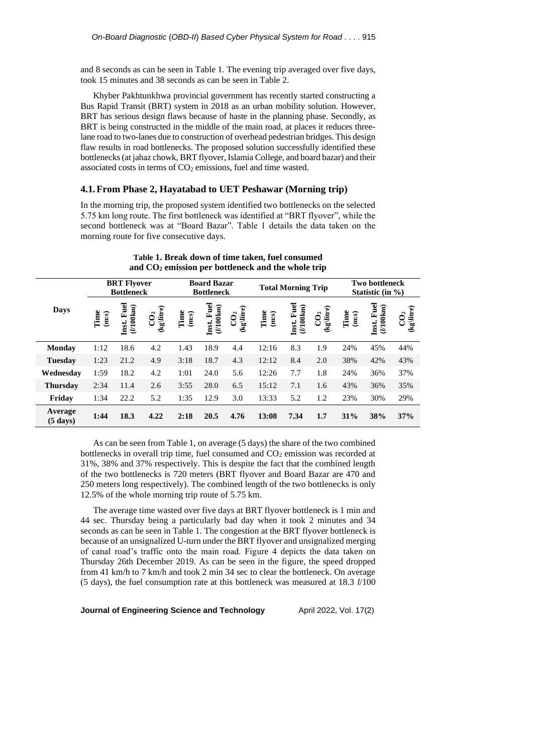and 8 seconds as can be seen in Table 1. The evening trip averaged over five days, took 15 minutes and 38 seconds as can be seen in Table 2.

Khyber Pakhtunkhwa provincial government has recently started constructing a Bus Rapid Transit (BRT) system in 2018 as an urban mobility solution. However, BRT has serious design flaws because of haste in the planning phase. Secondly, as BRT is being constructed in the middle of the main road, at places it reduces threelane road to two-lanes due to construction of overhead pedestrian bridges. This design flaw results in road bottlenecks. The proposed solution successfully identified these bottlenecks (at jahaz chowk, BRT flyover, Islamia College, and board bazar) and their associated costs in terms of  $CO<sub>2</sub>$  emissions, fuel and time wasted.

### **4.1.From Phase 2, Hayatabad to UET Peshawar (Morning trip)**

In the morning trip, the proposed system identified two bottlenecks on the selected 5.75 km long route. The first bottleneck was identified at "BRT flyover", while the second bottleneck was at "Board Bazar". Table 1 details the data taken on the morning route for five consecutive days.

|                               | <b>BRT</b> Flyover<br><b>Bottleneck</b> |                                  |                              | <b>Board Bazar</b><br><b>Bottleneck</b> |                                  |                               | <b>Total Morning Trip</b> |                                  |                               | <b>Two bottleneck</b><br>Statistic (in $\%$ ) |                                 |                              |
|-------------------------------|-----------------------------------------|----------------------------------|------------------------------|-----------------------------------------|----------------------------------|-------------------------------|---------------------------|----------------------------------|-------------------------------|-----------------------------------------------|---------------------------------|------------------------------|
| <b>Days</b>                   | Time<br>(m:s)                           | Inst. Fuel<br>$(1100 \text{km})$ | (kg\litre)<br>$\overline{C}$ | Time<br>(m:s)                           | Inst. Fuel<br>$(1100 \text{km})$ | (kg\litre)<br>CO <sub>2</sub> | Time<br>(m:s)             | Inst. Fuel<br>$(1100 \text{km})$ | (kg\litre)<br>CO <sub>2</sub> | Time<br>(m:s)                                 | Fuel<br>$(1100$ km $)$<br>Inst. | (kg\litre)<br>$\overline{C}$ |
| Monday                        | 1:12                                    | 18.6                             | 4.2                          | 1.43                                    | 18.9                             | 4.4                           | 12:16                     | 8.3                              | 1.9                           | 24%                                           | 45%                             | 44%                          |
| <b>Tuesday</b>                | 1:23                                    | 21.2                             | 4.9                          | 3:18                                    | 18.7                             | 4.3                           | 12:12                     | 8.4                              | 2.0                           | 38%                                           | 42%                             | 43%                          |
| Wednesday                     | 1:59                                    | 18.2                             | 4.2                          | 1:01                                    | 24.0                             | 5.6                           | 12:26                     | 7.7                              | 1.8                           | 24%                                           | 36%                             | 37%                          |
| <b>Thursday</b>               | 2:34                                    | 11.4                             | 2.6                          | 3:55                                    | 28.0                             | 6.5                           | 15:12                     | 7.1                              | 1.6                           | 43%                                           | 36%                             | 35%                          |
| Friday                        | 1:34                                    | 22.2                             | 5.2                          | 1:35                                    | 12.9                             | 3.0                           | 13:33                     | 5.2                              | 1.2                           | 23%                                           | 30%                             | 29%                          |
| Average<br>$(5 \text{ days})$ | 1:44                                    | 18.3                             | 4.22                         | 2:18                                    | 20.5                             | 4.76                          | 13:08                     | 7.34                             | 1.7                           | 31%                                           | 38%                             | 37%                          |

**Table 1. Break down of time taken, fuel consumed and CO<sup>2</sup> emission per bottleneck and the whole trip**

As can be seen from Table 1, on average (5 days) the share of the two combined bottlenecks in overall trip time, fuel consumed and  $CO<sub>2</sub>$  emission was recorded at 31%, 38% and 37% respectively. This is despite the fact that the combined length of the two bottlenecks is 720 meters (BRT flyover and Board Bazar are 470 and 250 meters long respectively). The combined length of the two bottlenecks is only 12.5% of the whole morning trip route of 5.75 km.

The average time wasted over five days at BRT flyover bottleneck is 1 min and 44 sec. Thursday being a particularly bad day when it took 2 minutes and 34 seconds as can be seen in Table 1. The congestion at the BRT flyover bottleneck is because of an unsignalized U-turn under the BRT flyover and unsignalized merging of canal road's traffic onto the main road. Figure 4 depicts the data taken on Thursday 26th December 2019. As can be seen in the figure, the speed dropped from 41 km/h to 7 km/h and took 2 min 34 sec to clear the bottleneck. On average (5 days), the fuel consumption rate at this bottleneck was measured at 18.3 *l*/100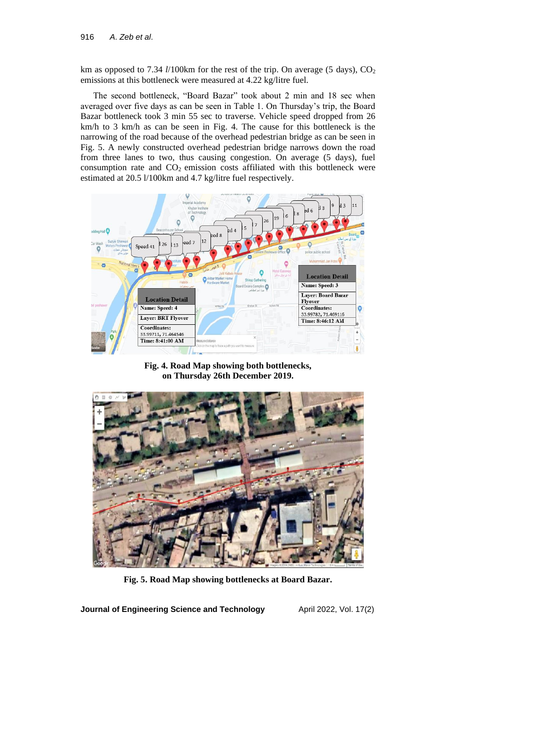km as opposed to 7.34 *l*/100km for the rest of the trip. On average (5 days), CO<sub>2</sub> emissions at this bottleneck were measured at 4.22 kg/litre fuel.

The second bottleneck, "Board Bazar" took about 2 min and 18 sec when averaged over five days as can be seen in Table 1. On Thursday's trip, the Board Bazar bottleneck took 3 min 55 sec to traverse. Vehicle speed dropped from 26 km/h to 3 km/h as can be seen in Fig. 4. The cause for this bottleneck is the narrowing of the road because of the overhead pedestrian bridge as can be seen in Fig. 5. A newly constructed overhead pedestrian bridge narrows down the road from three lanes to two, thus causing congestion. On average (5 days), fuel consumption rate and  $CO<sub>2</sub>$  emission costs affiliated with this bottleneck were estimated at 20.5 l/100km and 4.7 kg/litre fuel respectively.



**Fig. 4. Road Map showing both bottlenecks, on Thursday 26th December 2019.**



**Fig. 5. Road Map showing bottlenecks at Board Bazar.**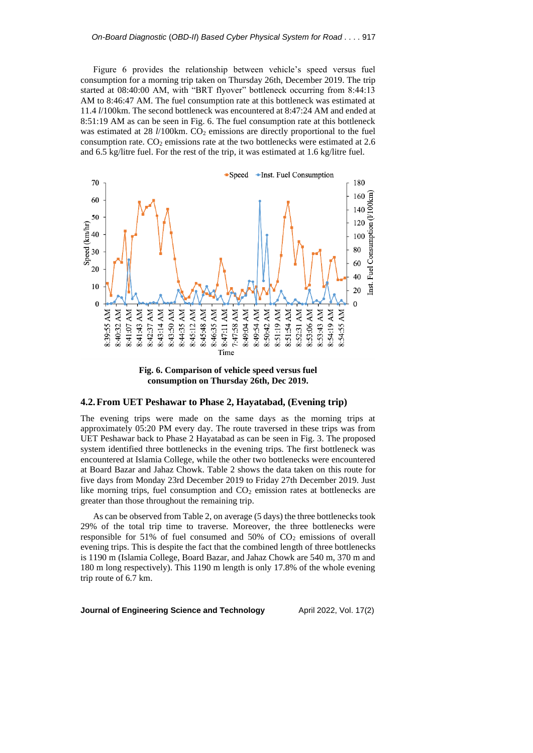Figure 6 provides the relationship between vehicle's speed versus fuel consumption for a morning trip taken on Thursday 26th, December 2019. The trip started at 08:40:00 AM, with "BRT flyover" bottleneck occurring from 8:44:13 AM to 8:46:47 AM. The fuel consumption rate at this bottleneck was estimated at 11.4 *l*/100km. The second bottleneck was encountered at 8:47:24 AM and ended at 8:51:19 AM as can be seen in Fig. 6. The fuel consumption rate at this bottleneck was estimated at 28 *l*/100km. CO<sub>2</sub> emissions are directly proportional to the fuel consumption rate.  $CO<sub>2</sub>$  emissions rate at the two bottlenecks were estimated at 2.6 and 6.5 kg/litre fuel. For the rest of the trip, it was estimated at 1.6 kg/litre fuel.



**consumption on Thursday 26th, Dec 2019.**

#### **4.2.From UET Peshawar to Phase 2, Hayatabad, (Evening trip)**

The evening trips were made on the same days as the morning trips at approximately 05:20 PM every day. The route traversed in these trips was from UET Peshawar back to Phase 2 Hayatabad as can be seen in Fig. 3. The proposed system identified three bottlenecks in the evening trips. The first bottleneck was encountered at Islamia College, while the other two bottlenecks were encountered at Board Bazar and Jahaz Chowk. Table 2 shows the data taken on this route for five days from Monday 23rd December 2019 to Friday 27th December 2019. Just like morning trips, fuel consumption and  $CO<sub>2</sub>$  emission rates at bottlenecks are greater than those throughout the remaining trip.

As can be observed from Table 2, on average (5 days) the three bottlenecks took 29% of the total trip time to traverse. Moreover, the three bottlenecks were responsible for 51% of fuel consumed and 50% of  $CO<sub>2</sub>$  emissions of overall evening trips. This is despite the fact that the combined length of three bottlenecks is 1190 m (Islamia College, Board Bazar, and Jahaz Chowk are 540 m, 370 m and 180 m long respectively). This 1190 m length is only 17.8% of the whole evening trip route of 6.7 km.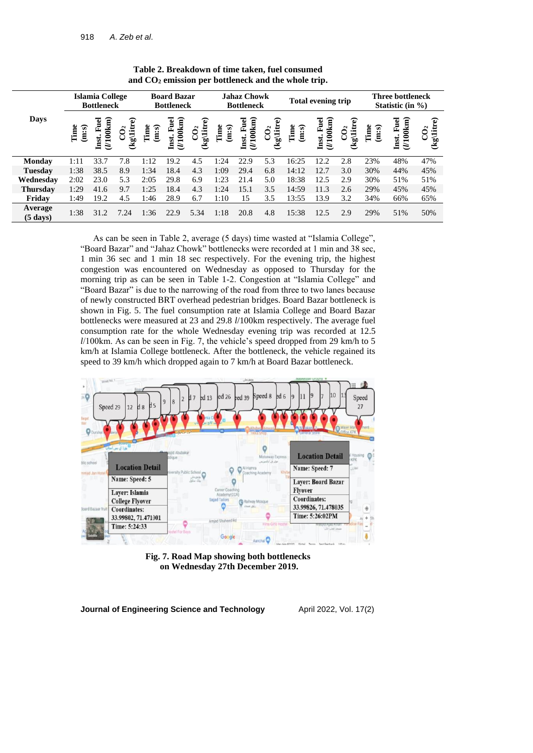|                               | <b>Islamia College</b><br><b>Bottleneck</b> |                                              |                                                       | <b>Board Bazar</b><br><b>Bottleneck</b> |                                               |                                       | <b>Jahaz Chowk</b><br><b>Bottleneck</b> |                                               |                               | <b>Total evening trip</b> |                              |                                     | <b>Three bottleneck</b><br>Statistic (in $\%$ ) |                           |                               |
|-------------------------------|---------------------------------------------|----------------------------------------------|-------------------------------------------------------|-----------------------------------------|-----------------------------------------------|---------------------------------------|-----------------------------------------|-----------------------------------------------|-------------------------------|---------------------------|------------------------------|-------------------------------------|-------------------------------------------------|---------------------------|-------------------------------|
| Days                          | Time<br>(m:s)                               | $(U100$ km $)$<br>$\mathbf{u}$<br>ш<br>Inst. | $\widehat{\mathbf{e}}$<br>(kg\litr<br>CO <sub>2</sub> | Time<br>(m:s)                           | $(U100$ km $)$<br>$\mathbf{u}$<br>Œ,<br>Inst. | $\widehat{\mathbf{e}}$<br>iit<br>(kg) | Time<br><u>ିଶ୍</u><br>Ë                 | $(1100$ km $)$<br>$\mathbf{u}$<br>Ė,<br>Inst. | (kg\litre)<br>CO <sub>2</sub> | Time<br>(m:s)             | Inst. Fuel<br>$(U100$ km $)$ | จ<br>$(kg)$ litr<br>CO <sub>2</sub> | Time<br>(m:s)                                   | (U100km)<br>Fuel<br>Inst. | (kg\litre)<br>CO <sub>2</sub> |
| <b>Monday</b>                 | 1:11                                        | 33.7                                         | 7.8                                                   | 1:12                                    | 19.2                                          | 4.5                                   | 1:24                                    | 22.9                                          | 5.3                           | 16:25                     | 12.2                         | 2.8                                 | 23%                                             | 48%                       | 47%                           |
| <b>Tuesday</b>                | 1:38                                        | 38.5                                         | 8.9                                                   | 1:34                                    | 18.4                                          | 4.3                                   | 1:09                                    | 29.4                                          | 6.8                           | 14:12                     | 12.7                         | 3.0                                 | 30%                                             | 44%                       | 45%                           |
| Wednesdav                     | 2:02                                        | 23.0                                         | 5.3                                                   | 2:05                                    | 29.8                                          | 6.9                                   | 1:23                                    | 21.4                                          | 5.0                           | 18:38                     | 12.5                         | 2.9                                 | 30%                                             | 51%                       | 51%                           |
| <b>Thursday</b>               | 1:29                                        | 41.6                                         | 9.7                                                   | 1:25                                    | 18.4                                          | 4.3                                   | 1:24                                    | 15.1                                          | 3.5                           | 14:59                     | 11.3                         | 2.6                                 | 29%                                             | 45%                       | 45%                           |
| Friday                        | 1:49                                        | 19.2                                         | 4.5                                                   | 1:46                                    | 28.9                                          | 6.7                                   | 1:10                                    | 15                                            | 3.5                           | 13:55                     | 13.9                         | 3.2                                 | 34%                                             | 66%                       | 65%                           |
| Average<br>$(5 \text{ days})$ | 1:38                                        | 31.2                                         | 7.24                                                  | 1:36                                    | 22.9                                          | 5.34                                  | 1:18                                    | 20.8                                          | 4.8                           | 15:38                     | 12.5                         | 2.9                                 | 29%                                             | 51%                       | 50%                           |

**Table 2. Breakdown of time taken, fuel consumed and CO<sup>2</sup> emission per bottleneck and the whole trip.**

As can be seen in Table 2, average (5 days) time wasted at "Islamia College", "Board Bazar" and "Jahaz Chowk" bottlenecks were recorded at 1 min and 38 sec, 1 min 36 sec and 1 min 18 sec respectively. For the evening trip, the highest congestion was encountered on Wednesday as opposed to Thursday for the morning trip as can be seen in Table 1-2. Congestion at "Islamia College" and "Board Bazar" is due to the narrowing of the road from three to two lanes because of newly constructed BRT overhead pedestrian bridges. Board Bazar bottleneck is shown in Fig. 5. The fuel consumption rate at Islamia College and Board Bazar bottlenecks were measured at 23 and 29.8 *l*/100km respectively. The average fuel consumption rate for the whole Wednesday evening trip was recorded at 12.5 *l*/100km. As can be seen in Fig. 7, the vehicle's speed dropped from 29 km/h to 5 km/h at Islamia College bottleneck. After the bottleneck, the vehicle regained its speed to 39 km/h which dropped again to 7 km/h at Board Bazar bottleneck.



**Fig. 7. Road Map showing both bottlenecks on Wednesday 27th December 2019.**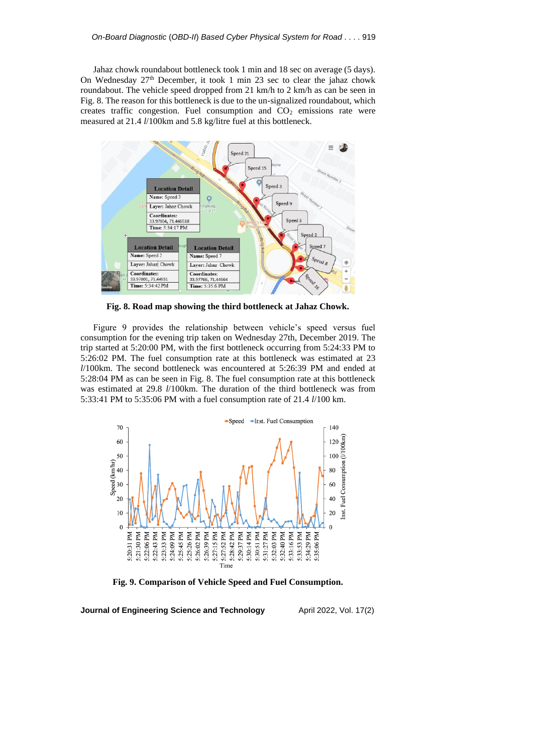Jahaz chowk roundabout bottleneck took 1 min and 18 sec on average (5 days). On Wednesday 27th December, it took 1 min 23 sec to clear the jahaz chowk roundabout. The vehicle speed dropped from 21 km/h to 2 km/h as can be seen in Fig. 8. The reason for this bottleneck is due to the un-signalized roundabout, which creates traffic congestion. Fuel consumption and  $CO<sub>2</sub>$  emissions rate were measured at 21.4 *l*/100km and 5.8 kg/litre fuel at this bottleneck.



**Fig. 8. Road map showing the third bottleneck at Jahaz Chowk.**

Figure 9 provides the relationship between vehicle's speed versus fuel consumption for the evening trip taken on Wednesday 27th, December 2019. The trip started at 5:20:00 PM, with the first bottleneck occurring from 5:24:33 PM to 5:26:02 PM. The fuel consumption rate at this bottleneck was estimated at 23 *l*/100km. The second bottleneck was encountered at 5:26:39 PM and ended at 5:28:04 PM as can be seen in Fig. 8. The fuel consumption rate at this bottleneck was estimated at 29.8 *l*/100km. The duration of the third bottleneck was from 5:33:41 PM to 5:35:06 PM with a fuel consumption rate of 21.4 *l*/100 km.



**Fig. 9. Comparison of Vehicle Speed and Fuel Consumption.**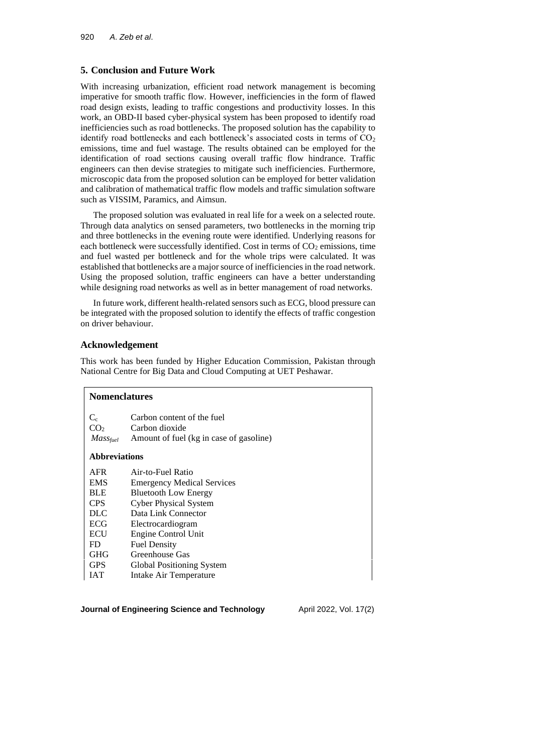## **5. Conclusion and Future Work**

With increasing urbanization, efficient road network management is becoming imperative for smooth traffic flow. However, inefficiencies in the form of flawed road design exists, leading to traffic congestions and productivity losses. In this work, an OBD-II based cyber-physical system has been proposed to identify road inefficiencies such as road bottlenecks. The proposed solution has the capability to identify road bottlenecks and each bottleneck's associated costs in terms of  $CO<sub>2</sub>$ emissions, time and fuel wastage. The results obtained can be employed for the identification of road sections causing overall traffic flow hindrance. Traffic engineers can then devise strategies to mitigate such inefficiencies. Furthermore, microscopic data from the proposed solution can be employed for better validation and calibration of mathematical traffic flow models and traffic simulation software such as VISSIM, Paramics, and Aimsun.

The proposed solution was evaluated in real life for a week on a selected route. Through data analytics on sensed parameters, two bottlenecks in the morning trip and three bottlenecks in the evening route were identified. Underlying reasons for each bottleneck were successfully identified. Cost in terms of  $CO<sub>2</sub>$  emissions, time and fuel wasted per bottleneck and for the whole trips were calculated. It was established that bottlenecks are a major source of inefficiencies in the road network. Using the proposed solution, traffic engineers can have a better understanding while designing road networks as well as in better management of road networks.

In future work, different health-related sensors such as ECG, blood pressure can be integrated with the proposed solution to identify the effects of traffic congestion on driver behaviour.

## **Acknowledgement**

This work has been funded by Higher Education Commission, Pakistan through National Centre for Big Data and Cloud Computing at UET Peshawar.

| Nomenclatures              |                                              |  |  |  |  |  |
|----------------------------|----------------------------------------------|--|--|--|--|--|
| $C_{c}$<br>CO <sub>2</sub> | Carbon content of the fuel<br>Carbon dioxide |  |  |  |  |  |
| <b>Massfuel</b>            | Amount of fuel (kg in case of gasoline)      |  |  |  |  |  |
| <b>Abbreviations</b>       |                                              |  |  |  |  |  |
| AFR                        | Air-to-Fuel Ratio                            |  |  |  |  |  |
| <b>EMS</b>                 | <b>Emergency Medical Services</b>            |  |  |  |  |  |
| <b>BLE</b>                 | <b>Bluetooth Low Energy</b>                  |  |  |  |  |  |
| CPS.                       | <b>Cyber Physical System</b>                 |  |  |  |  |  |
| DLC                        | Data Link Connector                          |  |  |  |  |  |
| ECG                        | Electrocardiogram                            |  |  |  |  |  |
| ECU                        | Engine Control Unit                          |  |  |  |  |  |
| FD                         | <b>Fuel Density</b>                          |  |  |  |  |  |
| GHG                        | Greenhouse Gas                               |  |  |  |  |  |
| <b>GPS</b>                 | Global Positioning System                    |  |  |  |  |  |
| <b>IAT</b>                 | Intake Air Temperature                       |  |  |  |  |  |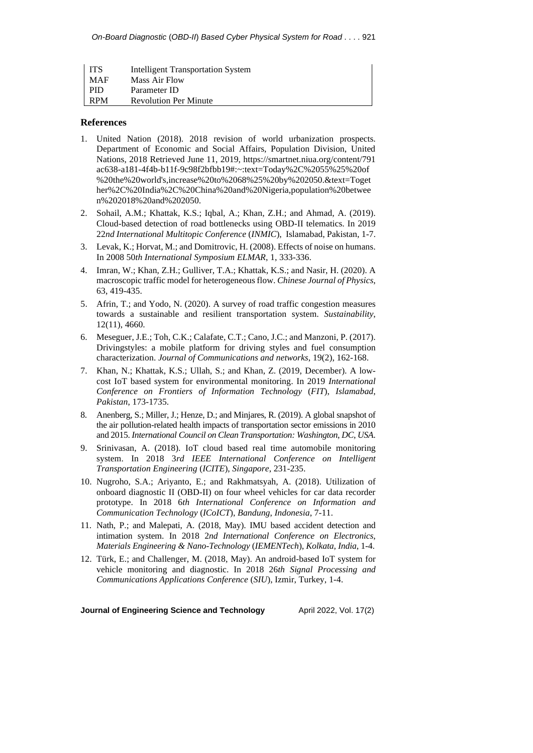| l ITS      | Intelligent Transportation System |
|------------|-----------------------------------|
| - MAF      | Mass Air Flow                     |
| <b>PID</b> | Parameter ID                      |
| <b>RPM</b> | <b>Revolution Per Minute</b>      |

## **References**

- 1. United Nation (2018). 2018 revision of world urbanization prospects. Department of Economic and Social Affairs, Population Division, United Nations, 2018 Retrieved June 11, 2019, <https://smartnet.niua.org/content/791> ac638-a181-4f4b-b11f-9c98f2bfbb19#:~:text=Today%2C%2055%25%20of %20the%20world's,increase%20to%2068%25%20by%202050.&text=Toget her%2C%20India%2C%20China%20and%20Nigeria,population%20betwee n%202018%20and%202050.
- 2. Sohail, A.M.; Khattak, K.S.; Iqbal, A.; Khan, Z.H.; and Ahmad, A. (2019). Cloud-based detection of road bottlenecks using OBD-II telematics. In 2019 22*nd International Multitopic Conference* (*INMIC*), Islamabad, Pakistan, 1-7.
- 3. Levak, K.; Horvat, M.; and Domitrovic, H. (2008). Effects of noise on humans. In 2008 50*th International Symposium ELMAR*, 1, 333-336.
- 4. Imran, W.; Khan, Z.H.; Gulliver, T.A.; Khattak, K.S.; and Nasir, H. (2020). A macroscopic traffic model for heterogeneous flow. *Chinese Journal of Physics*, 63, 419-435.
- 5. Afrin, T.; and Yodo, N. (2020). A survey of road traffic congestion measures towards a sustainable and resilient transportation system. *Sustainability*, 12(11), 4660.
- 6. Meseguer, J.E.; Toh, C.K.; Calafate, C.T.; Cano, J.C.; and Manzoni, P. (2017). Drivingstyles: a mobile platform for driving styles and fuel consumption characterization. *Journal of Communications and networks*, 19(2), 162-168.
- 7. Khan, N.; Khattak, K.S.; Ullah, S.; and Khan, Z. (2019, December). A lowcost IoT based system for environmental monitoring. In 2019 *International Conference on Frontiers of Information Technology* (*FIT*), *Islamabad*, *Pakistan*, 173-1735.
- 8. Anenberg, S.; Miller, J.; Henze, D.; and Minjares, R. (2019). A global snapshot of the air pollution-related health impacts of transportation sector emissions in 2010 and 2015. *International Council on Clean Transportation: Washington*, *DC*, *USA*.
- 9. Srinivasan, A. (2018). IoT cloud based real time automobile monitoring system. In 2018 3*rd IEEE International Conference on Intelligent Transportation Engineering* (*ICITE*), *Singapore*, 231-235.
- 10. Nugroho, S.A.; Ariyanto, E.; and Rakhmatsyah, A. (2018). Utilization of onboard diagnostic II (OBD-II) on four wheel vehicles for car data recorder prototype. In 2018 6*th International Conference on Information and Communication Technology* (*ICoICT*), *Bandung*, *Indonesia*, 7-11.
- 11. Nath, P.; and Malepati, A. (2018, May). IMU based accident detection and intimation system. In 2018 2*nd International Conference on Electronics*, *Materials Engineering & Nano-Technology* (*IEMENTech*), *Kolkata*, *India*, 1-4.
- 12. Türk, E.; and Challenger, M. (2018, May). An android-based IoT system for vehicle monitoring and diagnostic. In 2018 26*th Signal Processing and Communications Applications Conference* (*SIU*), Izmir, Turkey, 1-4.